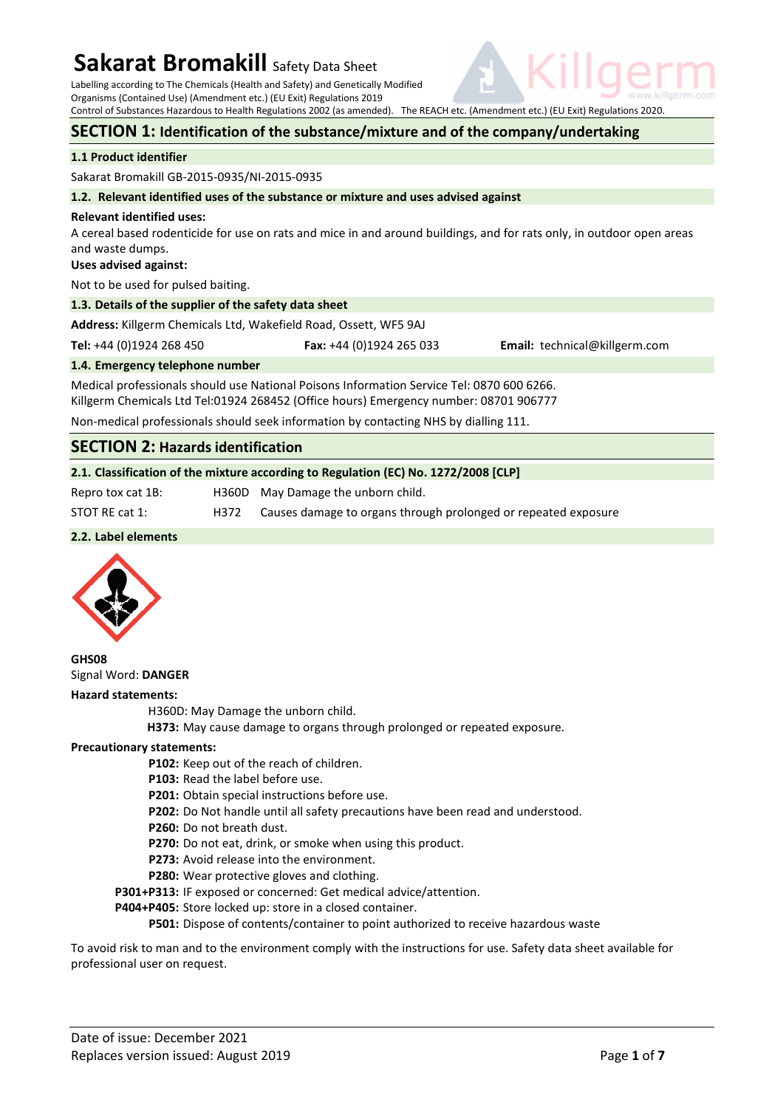Labelling according to The Chemicals (Health and Safety) and Genetically Modified Organisms (Contained Use) (Amendment etc.) (EU Exit) Regulations 2019

Control of Substances Hazardous to Health Regulations 2002 (as amended). The REACH etc. (Amendment etc.) (EU Exit) Regulations 2020.

### **SECTION 1: Identification of the substance/mixture and of the company/undertaking**

### **1.1 Product identifier**

Sakarat Bromakill GB-2015-0935/NI-2015-0935

#### **1.2. Relevant identified uses of the substance or mixture and uses advised against**

#### **Relevant identified uses:**

A cereal based rodenticide for use on rats and mice in and around buildings, and for rats only, in outdoor open areas and waste dumps.

#### **Uses advised against:**

Not to be used for pulsed baiting.

### **1.3. Details of the supplier of the safety data sheet**

**Address:** Killgerm Chemicals Ltd, Wakefield Road, Ossett, WF5 9AJ

**Tel:** +44 (0)1924 268 450 **Fax:** +44 (0)1924 265 033 **Email:** technical@killgerm.com

**1.4. Emergency telephone number** 

Medical professionals should use National Poisons Information Service Tel: 0870 600 6266. Killgerm Chemicals Ltd Tel:01924 268452 (Office hours) Emergency number: 08701 906777

Non-medical professionals should seek information by contacting NHS by dialling 111.

# **SECTION 2: Hazards identification**

### **2.1. Classification of the mixture according to Regulation (EC) No. 1272/2008 [CLP]**

Repro tox cat 1B: H360D May Damage the unborn child.

STOT RE cat 1: H372 Causes damage to organs through prolonged or repeated exposure

### **2.2. Label elements**



**GHS08**  Signal Word: **DANGER** 

### **Hazard statements:**

H360D: May Damage the unborn child.

 **H373:** May cause damage to organs through prolonged or repeated exposure.

#### **Precautionary statements:**

- **P102:** Keep out of the reach of children.
- **P103:** Read the label before use.
- **P201:** Obtain special instructions before use.
- **P202:** Do Not handle until all safety precautions have been read and understood.
- **P260:** Do not breath dust.
- **P270:** Do not eat, drink, or smoke when using this product.
- **P273:** Avoid release into the environment.
- **P280:** Wear protective gloves and clothing.
- **P301+P313:** IF exposed or concerned: Get medical advice/attention.
- **P404+P405:** Store locked up: store in a closed container.

 **P501:** Dispose of contents/container to point authorized to receive hazardous waste

To avoid risk to man and to the environment comply with the instructions for use. Safety data sheet available for professional user on request.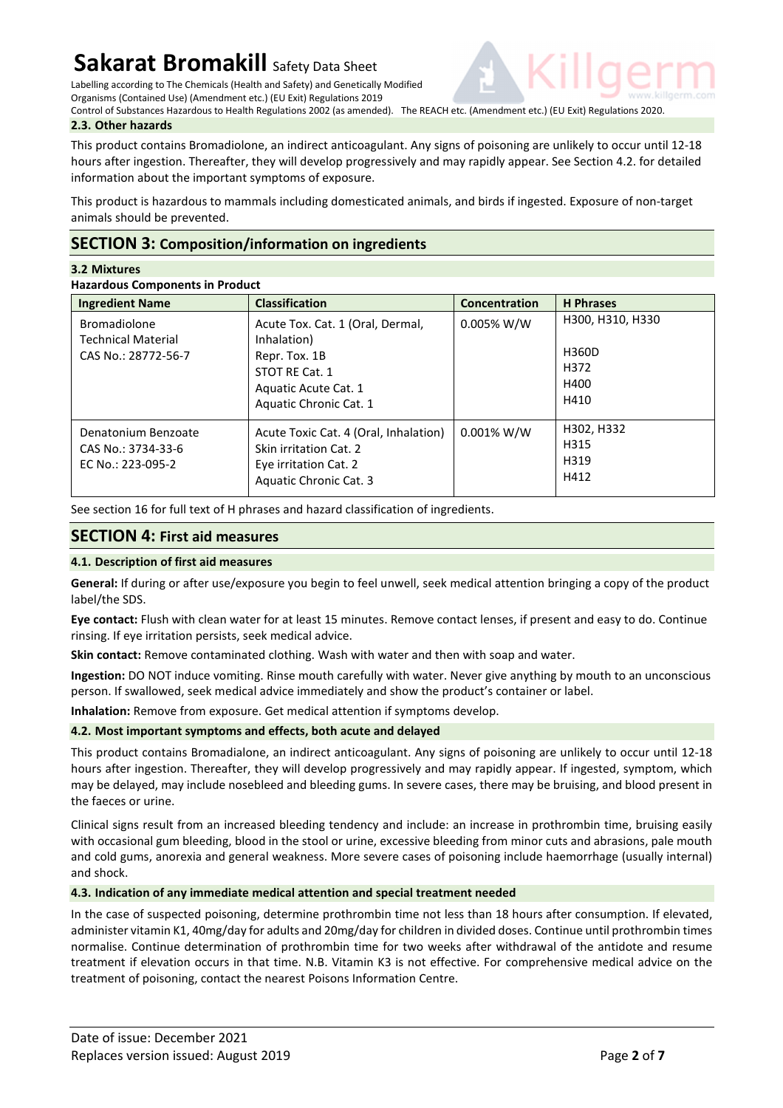Labelling according to The Chemicals (Health and Safety) and Genetically Modified

Organisms (Contained Use) (Amendment etc.) (EU Exit) Regulations 2019 Control of Substances Hazardous to Health Regulations 2002 (as amended). The REACH etc. (Amendment etc.) (EU Exit) Regulations 2020.



This product contains Bromadiolone, an indirect anticoagulant. Any signs of poisoning are unlikely to occur until 12-18 hours after ingestion. Thereafter, they will develop progressively and may rapidly appear. See Section 4.2. for detailed information about the important symptoms of exposure.

This product is hazardous to mammals including domesticated animals, and birds if ingested. Exposure of non-target animals should be prevented.

# **SECTION 3: Composition/information on ingredients**

## **3.2 Mixtures**

**Hazardous Components in Product** 

| <b>Ingredient Name</b>                                                  | <b>Classification</b>                                                                                                                | Concentration | <b>H</b> Phrases                                  |
|-------------------------------------------------------------------------|--------------------------------------------------------------------------------------------------------------------------------------|---------------|---------------------------------------------------|
| <b>Bromadiolone</b><br><b>Technical Material</b><br>CAS No.: 28772-56-7 | Acute Tox. Cat. 1 (Oral, Dermal,<br>Inhalation)<br>Repr. Tox. 1B<br>STOT RE Cat. 1<br>Aquatic Acute Cat. 1<br>Aquatic Chronic Cat. 1 | $0.005\%$ W/W | H300, H310, H330<br>H360D<br>H372<br>H400<br>H410 |
| Denatonium Benzoate<br>CAS No.: 3734-33-6<br>EC No.: 223-095-2          | Acute Toxic Cat. 4 (Oral, Inhalation)<br>Skin irritation Cat. 2<br>Eye irritation Cat. 2<br>Aquatic Chronic Cat. 3                   | $0.001\%$ W/W | H302, H332<br>H315<br>H319<br>H412                |

See section 16 for full text of H phrases and hazard classification of ingredients.

# **SECTION 4: First aid measures**

## **4.1. Description of first aid measures**

**General:** If during or after use/exposure you begin to feel unwell, seek medical attention bringing a copy of the product label/the SDS.

**Eye contact:** Flush with clean water for at least 15 minutes. Remove contact lenses, if present and easy to do. Continue rinsing. If eye irritation persists, seek medical advice.

**Skin contact:** Remove contaminated clothing. Wash with water and then with soap and water.

**Ingestion:** DO NOT induce vomiting. Rinse mouth carefully with water. Never give anything by mouth to an unconscious person. If swallowed, seek medical advice immediately and show the product's container or label.

**Inhalation:** Remove from exposure. Get medical attention if symptoms develop.

## **4.2. Most important symptoms and effects, both acute and delayed**

This product contains Bromadialone, an indirect anticoagulant. Any signs of poisoning are unlikely to occur until 12-18 hours after ingestion. Thereafter, they will develop progressively and may rapidly appear. If ingested, symptom, which may be delayed, may include nosebleed and bleeding gums. In severe cases, there may be bruising, and blood present in the faeces or urine.

Clinical signs result from an increased bleeding tendency and include: an increase in prothrombin time, bruising easily with occasional gum bleeding, blood in the stool or urine, excessive bleeding from minor cuts and abrasions, pale mouth and cold gums, anorexia and general weakness. More severe cases of poisoning include haemorrhage (usually internal) and shock.

## **4.3. Indication of any immediate medical attention and special treatment needed**

In the case of suspected poisoning, determine prothrombin time not less than 18 hours after consumption. If elevated, administer vitamin K1, 40mg/day for adults and 20mg/day for children in divided doses. Continue until prothrombin times normalise. Continue determination of prothrombin time for two weeks after withdrawal of the antidote and resume treatment if elevation occurs in that time. N.B. Vitamin K3 is not effective. For comprehensive medical advice on the treatment of poisoning, contact the nearest Poisons Information Centre.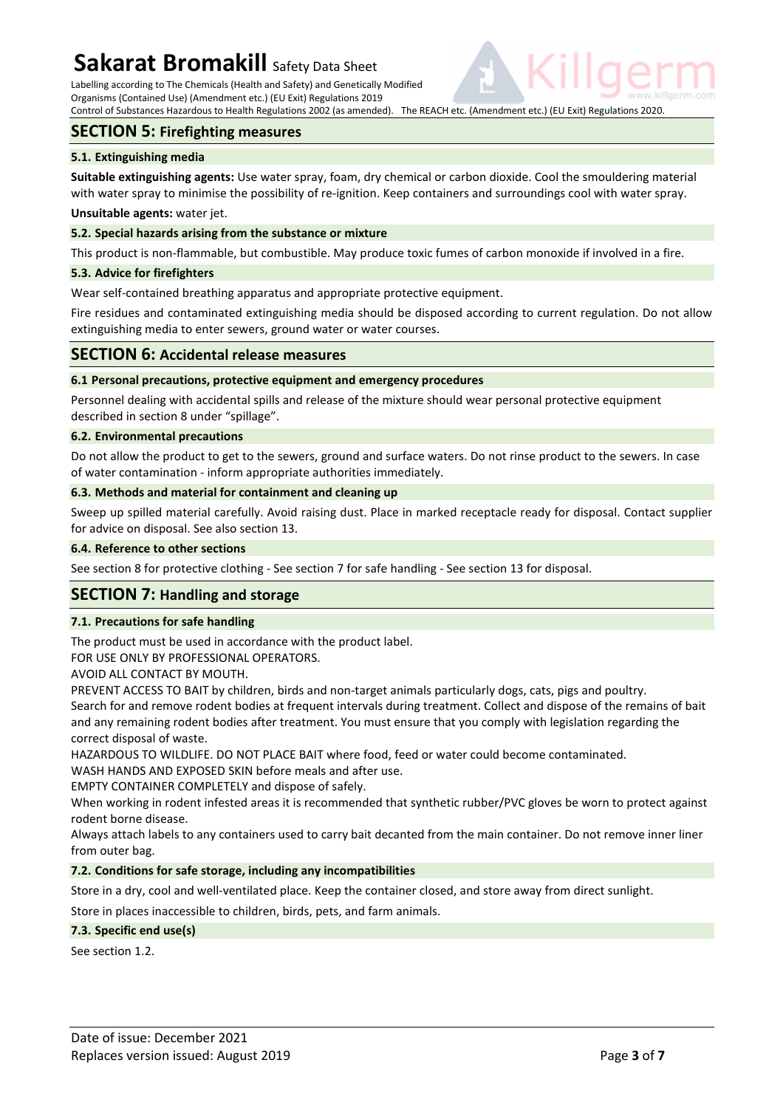Labelling according to The Chemicals (Health and Safety) and Genetically Modified Organisms (Contained Use) (Amendment etc.) (EU Exit) Regulations 2019

Control of Substances Hazardous to Health Regulations 2002 (as amended). The REACH etc. (Amendment etc.) (EU Exit) Regulations 2020.

# **SECTION 5: Firefighting measures**

### **5.1. Extinguishing media**

**Suitable extinguishing agents:** Use water spray, foam, dry chemical or carbon dioxide. Cool the smouldering material with water spray to minimise the possibility of re-ignition. Keep containers and surroundings cool with water spray.

### **Unsuitable agents:** water jet.

### **5.2. Special hazards arising from the substance or mixture**

This product is non-flammable, but combustible. May produce toxic fumes of carbon monoxide if involved in a fire.

### **5.3. Advice for firefighters**

Wear self-contained breathing apparatus and appropriate protective equipment.

Fire residues and contaminated extinguishing media should be disposed according to current regulation. Do not allow extinguishing media to enter sewers, ground water or water courses.

## **SECTION 6: Accidental release measures**

### **6.1 Personal precautions, protective equipment and emergency procedures**

Personnel dealing with accidental spills and release of the mixture should wear personal protective equipment described in section 8 under "spillage".

### **6.2. Environmental precautions**

Do not allow the product to get to the sewers, ground and surface waters. Do not rinse product to the sewers. In case of water contamination - inform appropriate authorities immediately.

### **6.3. Methods and material for containment and cleaning up**

Sweep up spilled material carefully. Avoid raising dust. Place in marked receptacle ready for disposal. Contact supplier for advice on disposal. See also section 13.

### **6.4. Reference to other sections**

See section 8 for protective clothing - See section 7 for safe handling - See section 13 for disposal.

## **SECTION 7: Handling and storage**

### **7.1. Precautions for safe handling**

The product must be used in accordance with the product label.

FOR USE ONLY BY PROFESSIONAL OPERATORS.

AVOID ALL CONTACT BY MOUTH.

PREVENT ACCESS TO BAIT by children, birds and non-target animals particularly dogs, cats, pigs and poultry. Search for and remove rodent bodies at frequent intervals during treatment. Collect and dispose of the remains of bait and any remaining rodent bodies after treatment. You must ensure that you comply with legislation regarding the correct disposal of waste.

HAZARDOUS TO WILDLIFE. DO NOT PLACE BAIT where food, feed or water could become contaminated. WASH HANDS AND EXPOSED SKIN before meals and after use.

EMPTY CONTAINER COMPLETELY and dispose of safely.

When working in rodent infested areas it is recommended that synthetic rubber/PVC gloves be worn to protect against rodent borne disease.

Always attach labels to any containers used to carry bait decanted from the main container. Do not remove inner liner from outer bag.

### **7.2. Conditions for safe storage, including any incompatibilities**

Store in a dry, cool and well-ventilated place. Keep the container closed, and store away from direct sunlight.

Store in places inaccessible to children, birds, pets, and farm animals.

### **7.3. Specific end use(s)**

See section 1.2.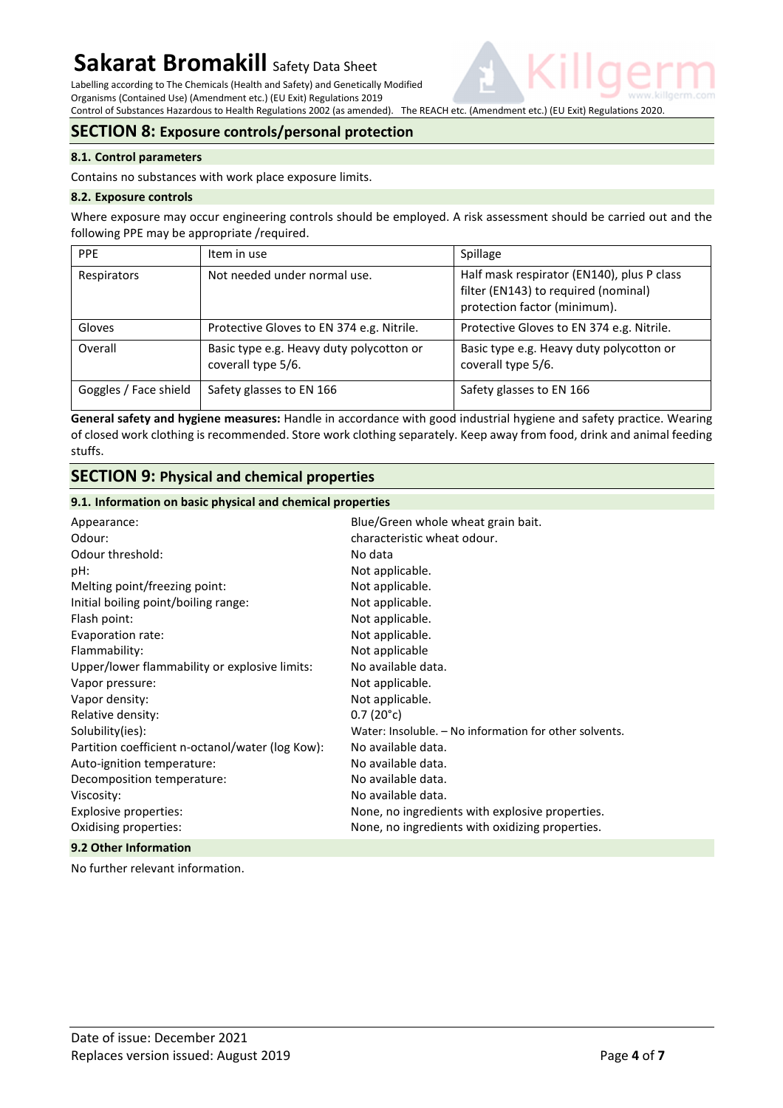Labelling according to The Chemicals (Health and Safety) and Genetically Modified Organisms (Contained Use) (Amendment etc.) (EU Exit) Regulations 2019

Control of Substances Hazardous to Health Regulations 2002 (as amended). The REACH etc. (Amendment etc.) (EU Exit) Regulations 2020.

# **SECTION 8: Exposure controls/personal protection**

### **8.1. Control parameters**

Contains no substances with work place exposure limits.

### **8.2. Exposure controls**

Where exposure may occur engineering controls should be employed. A risk assessment should be carried out and the following PPE may be appropriate /required.

| <b>PPE</b>            | Item in use                                                    | Spillage                                                                                                           |
|-----------------------|----------------------------------------------------------------|--------------------------------------------------------------------------------------------------------------------|
| Respirators           | Not needed under normal use.                                   | Half mask respirator (EN140), plus P class<br>filter (EN143) to required (nominal)<br>protection factor (minimum). |
| Gloves                | Protective Gloves to EN 374 e.g. Nitrile.                      | Protective Gloves to EN 374 e.g. Nitrile.                                                                          |
| Overall               | Basic type e.g. Heavy duty polycotton or<br>coverall type 5/6. | Basic type e.g. Heavy duty polycotton or<br>coverall type 5/6.                                                     |
| Goggles / Face shield | Safety glasses to EN 166                                       | Safety glasses to EN 166                                                                                           |

**General safety and hygiene measures:** Handle in accordance with good industrial hygiene and safety practice. Wearing of closed work clothing is recommended. Store work clothing separately. Keep away from food, drink and animal feeding stuffs.

# **SECTION 9: Physical and chemical properties**

### **9.1. Information on basic physical and chemical properties**

| Appearance:                                      | Blue/Green whole wheat grain bait.                     |
|--------------------------------------------------|--------------------------------------------------------|
| Odour:                                           | characteristic wheat odour.                            |
| Odour threshold:                                 | No data                                                |
| pH:                                              | Not applicable.                                        |
| Melting point/freezing point:                    | Not applicable.                                        |
| Initial boiling point/boiling range:             | Not applicable.                                        |
| Flash point:                                     | Not applicable.                                        |
| Evaporation rate:                                | Not applicable.                                        |
| Flammability:                                    | Not applicable                                         |
| Upper/lower flammability or explosive limits:    | No available data.                                     |
| Vapor pressure:                                  | Not applicable.                                        |
| Vapor density:                                   | Not applicable.                                        |
| Relative density:                                | $0.7(20^{\circ}c)$                                     |
| Solubility(ies):                                 | Water: Insoluble. - No information for other solvents. |
| Partition coefficient n-octanol/water (log Kow): | No available data.                                     |
| Auto-ignition temperature:                       | No available data.                                     |
| Decomposition temperature:                       | No available data.                                     |
| Viscosity:                                       | No available data.                                     |
| Explosive properties:                            | None, no ingredients with explosive properties.        |
| Oxidising properties:                            | None, no ingredients with oxidizing properties.        |
| 9.2 Other Information                            |                                                        |

No further relevant information.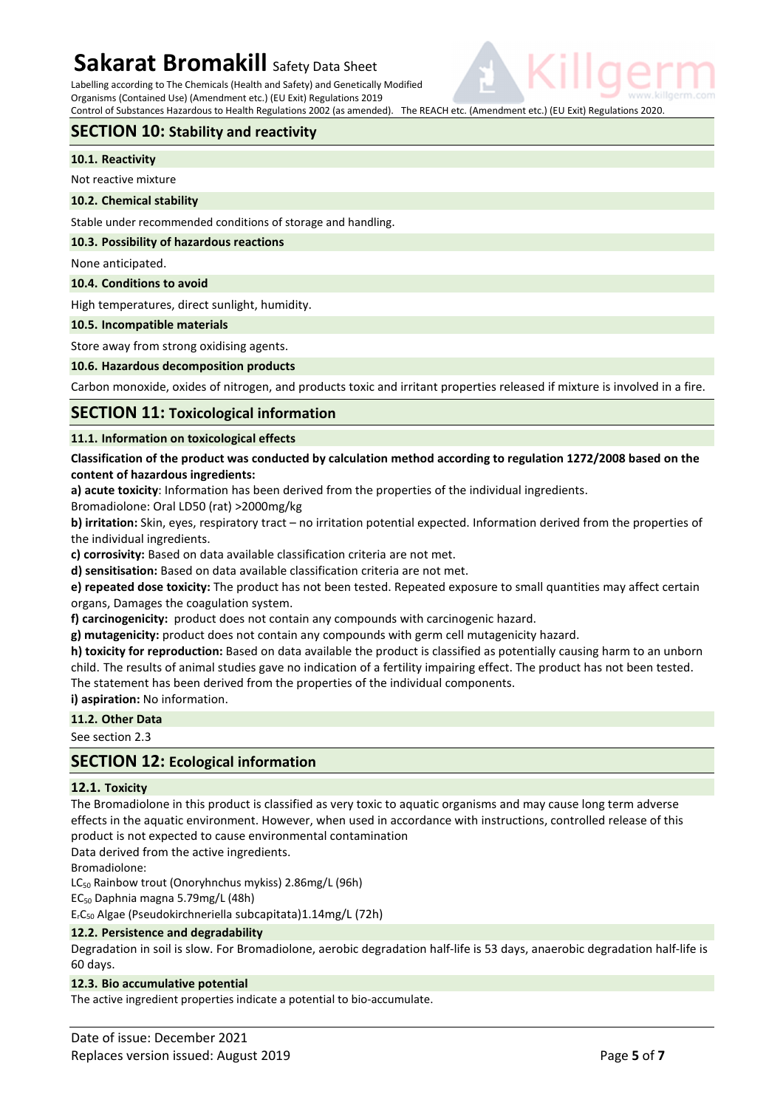Labelling according to The Chemicals (Health and Safety) and Genetically Modified Organisms (Contained Use) (Amendment etc.) (EU Exit) Regulations 2019

Control of Substances Hazardous to Health Regulations 2002 (as amended). The REACH etc. (Amendment etc.) (EU Exit) Regulations 2020.

# **SECTION 10: Stability and reactivity**

### **10.1. Reactivity**

Not reactive mixture

### **10.2. Chemical stability**

Stable under recommended conditions of storage and handling.

#### **10.3. Possibility of hazardous reactions**

None anticipated.

### **10.4. Conditions to avoid**

High temperatures, direct sunlight, humidity.

### **10.5. Incompatible materials**

Store away from strong oxidising agents.

### **10.6. Hazardous decomposition products**

Carbon monoxide, oxides of nitrogen, and products toxic and irritant properties released if mixture is involved in a fire.

### **SECTION 11: Toxicological information**

### **11.1. Information on toxicological effects**

### **Classification of the product was conducted by calculation method according to regulation 1272/2008 based on the content of hazardous ingredients:**

**a) acute toxicity**: Information has been derived from the properties of the individual ingredients.

Bromadiolone: Oral LD50 (rat) >2000mg/kg

**b) irritation:** Skin, eyes, respiratory tract – no irritation potential expected. Information derived from the properties of the individual ingredients.

**c) corrosivity:** Based on data available classification criteria are not met.

**d) sensitisation:** Based on data available classification criteria are not met.

**e) repeated dose toxicity:** The product has not been tested. Repeated exposure to small quantities may affect certain organs, Damages the coagulation system.

**f) carcinogenicity:** product does not contain any compounds with carcinogenic hazard.

**g) mutagenicity:** product does not contain any compounds with germ cell mutagenicity hazard.

**h) toxicity for reproduction:** Based on data available the product is classified as potentially causing harm to an unborn child. The results of animal studies gave no indication of a fertility impairing effect. The product has not been tested. The statement has been derived from the properties of the individual components.

**i) aspiration:** No information.

## **11.2. Other Data**

See section 2.3

## **SECTION 12: Ecological information**

### **12.1. Toxicity**

The Bromadiolone in this product is classified as very toxic to aquatic organisms and may cause long term adverse effects in the aquatic environment. However, when used in accordance with instructions, controlled release of this product is not expected to cause environmental contamination

Data derived from the active ingredients.

Bromadiolone:

LC<sub>50</sub> Rainbow trout (Onoryhnchus mykiss) 2.86mg/L (96h)

EC50 Daphnia magna 5.79mg/L (48h)

ErC50 Algae (Pseudokirchneriella subcapitata)1.14mg/L (72h)

### **12.2. Persistence and degradability**

Degradation in soil is slow. For Bromadiolone, aerobic degradation half-life is 53 days, anaerobic degradation half-life is 60 days.

### **12.3. Bio accumulative potential**

The active ingredient properties indicate a potential to bio-accumulate.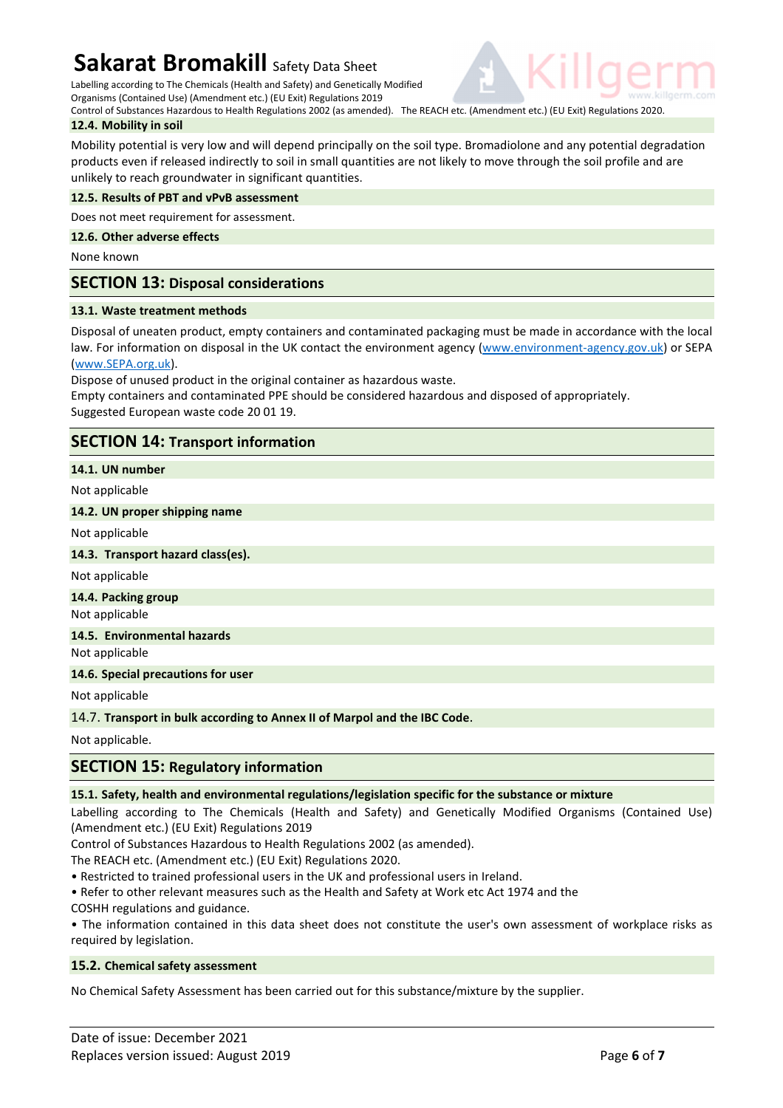Labelling according to The Chemicals (Health and Safety) and Genetically Modified Organisms (Contained Use) (Amendment etc.) (EU Exit) Regulations 2019

Control of Substances Hazardous to Health Regulations 2002 (as amended). The REACH etc. (Amendment etc.) (EU Exit) Regulations 2020. **12.4. Mobility in soil** 

Mobility potential is very low and will depend principally on the soil type. Bromadiolone and any potential degradation products even if released indirectly to soil in small quantities are not likely to move through the soil profile and are unlikely to reach groundwater in significant quantities.

### **12.5. Results of PBT and vPvB assessment**

Does not meet requirement for assessment.

### **12.6. Other adverse effects**

None known

# **SECTION 13: Disposal considerations**

### **13.1. Waste treatment methods**

Disposal of uneaten product, empty containers and contaminated packaging must be made in accordance with the local law. For information on disposal in the UK contact the environment agency (www.environment-agency.gov.uk) or SEPA (www.SEPA.org.uk).

Dispose of unused product in the original container as hazardous waste.

Empty containers and contaminated PPE should be considered hazardous and disposed of appropriately. Suggested European waste code 20 01 19.

# **SECTION 14: Transport information**

**14.1. UN number** 

Not applicable

### **14.2. UN proper shipping name**

Not applicable

### **14.3. Transport hazard class(es).**

Not applicable

**14.4. Packing group** 

Not applicable

### **14.5. Environmental hazards**

Not applicable

### **14.6. Special precautions for user**

Not applicable

14.7. **Transport in bulk according to Annex II of Marpol and the IBC Code**.

Not applicable.

# **SECTION 15: Regulatory information**

### **15.1. Safety, health and environmental regulations/legislation specific for the substance or mixture**

Labelling according to The Chemicals (Health and Safety) and Genetically Modified Organisms (Contained Use) (Amendment etc.) (EU Exit) Regulations 2019

Control of Substances Hazardous to Health Regulations 2002 (as amended).

The REACH etc. (Amendment etc.) (EU Exit) Regulations 2020.

- Restricted to trained professional users in the UK and professional users in Ireland.
- Refer to other relevant measures such as the Health and Safety at Work etc Act 1974 and the COSHH regulations and guidance.

• The information contained in this data sheet does not constitute the user's own assessment of workplace risks as required by legislation.

### **15.2. Chemical safety assessment**

No Chemical Safety Assessment has been carried out for this substance/mixture by the supplier.